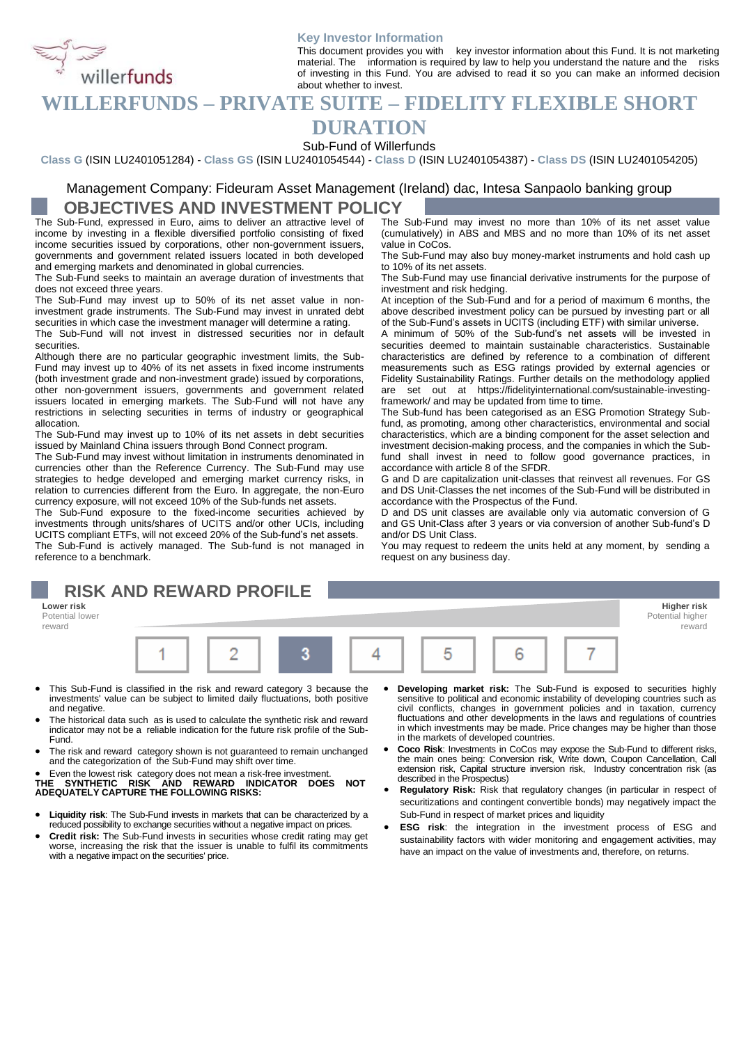

#### **Key Investor Information**

This document provides you with key investor information about this Fund. It is not marketing material. The information is required by law to help you understand the nature and the risks of investing in this Fund. You are advised to read it so you can make an informed decision about whether to invest.

### **WILLERFUNDS – PRIVATE SUITE – FIDELITY FLEXIBLE SHORT**

## **DURATION**

Sub-Fund of Willerfunds

**Class G** (ISIN LU2401051284) - **Class GS** (ISIN LU2401054544) - **Class D** (ISIN LU2401054387) - **Class DS** (ISIN LU2401054205)

#### Management Company: Fideuram Asset Management (Ireland) dac, Intesa Sanpaolo banking group **OBJECTIVES AND INVESTMENT POLICY**

The Sub-Fund, expressed in Euro, aims to deliver an attractive level of income by investing in a flexible diversified portfolio consisting of fixed income securities issued by corporations, other non-government issuers, governments and government related issuers located in both developed and emerging markets and denominated in global currencies.

The Sub-Fund seeks to maintain an average duration of investments that does not exceed three years.

The Sub-Fund may invest up to 50% of its net asset value in noninvestment grade instruments. The Sub-Fund may invest in unrated debt securities in which case the investment manager will determine a rating.

The Sub-Fund will not invest in distressed securities nor in default securities.

Although there are no particular geographic investment limits, the Sub-Fund may invest up to 40% of its net assets in fixed income instruments (both investment grade and non-investment grade) issued by corporations, other non-government issuers, governments and government related issuers located in emerging markets. The Sub-Fund will not have any restrictions in selecting securities in terms of industry or geographical allocation.

The Sub-Fund may invest up to 10% of its net assets in debt securities issued by Mainland China issuers through Bond Connect program.

The Sub-Fund may invest without limitation in instruments denominated in currencies other than the Reference Currency. The Sub-Fund may use strategies to hedge developed and emerging market currency risks, in relation to currencies different from the Euro. In aggregate, the non-Euro currency exposure, will not exceed 10% of the Sub-funds net assets.

The Sub-Fund exposure to the fixed-income securities achieved by investments through units/shares of UCITS and/or other UCIs, including UCITS compliant ETFs, will not exceed 20% of the Sub-fund's net assets. The Sub-Fund is actively managed. The Sub-fund is not managed in reference to a benchmark.

# **RISK AND REWARD PROFILE**

**Lower risk Higher risk** Potential lower reward



- This Sub-Fund is classified in the risk and reward category 3 because the investments' value can be subject to limited daily fluctuations, both positive and negative.
- The historical data such as is used to calculate the synthetic risk and reward indicator may not be a reliable indication for the future risk profile of the Sub-Fund.
- The risk and reward category shown is not guaranteed to remain unchanged and the categorization of the Sub-Fund may shift over time.

• Even the lowest risk category does not mean a risk-free investment. **THE SYNTHETIC RISK AND REWARD INDICATOR DOES NOT ADEQUATELY CAPTURE THE FOLLOWING RISKS:**

- **Liquidity risk**: The Sub-Fund invests in markets that can be characterized by a reduced possibility to exchange securities without a negative impact on prices.
- **Credit risk:** The Sub-Fund invests in securities whose credit rating may get worse, increasing the risk that the issuer is unable to fulfil its commitments with a negative impact on the securities' price.
- **Developing market risk:** The Sub-Fund is exposed to securities highly sensitive to political and economic instability of developing countries such as civil conflicts, changes in government policies and in taxation, currency<br>fluctuations and other developments in the laws and regulations of countries<br>in which investments may be made. Price changes may be higher than thos in the markets of developed countries.

reward

- **Coco Risk**: Investments in CoCos may expose the Sub-Fund to different risks, the main ones being: Conversion risk, Write down, Coupon Cancellation, Call extension risk, Capital structure inversion risk, Industry concentration risk (as described in the Prospectus)
- **Regulatory Risk:** Risk that regulatory changes (in particular in respect of securitizations and contingent convertible bonds) may negatively impact the Sub-Fund in respect of market prices and liquidity
- **ESG risk**: the integration in the investment process of ESG and sustainability factors with wider monitoring and engagement activities, may have an impact on the value of investments and, therefore, on returns.

The Sub-Fund may invest no more than 10% of its net asset value (cumulatively) in ABS and MBS and no more than 10% of its net asset value in CoCos.

The Sub-Fund may also buy money-market instruments and hold cash up to 10% of its net assets.

The Sub-Fund may use financial derivative instruments for the purpose of investment and risk hedging.

At inception of the Sub-Fund and for a period of maximum 6 months, the above described investment policy can be pursued by investing part or all of the Sub-Fund's assets in UCITS (including ETF) with similar universe.

A minimum of 50% of the Sub-fund's net assets will be invested in securities deemed to maintain sustainable characteristics. Sustainable characteristics are defined by reference to a combination of different measurements such as ESG ratings provided by external agencies or Fidelity Sustainability Ratings. Further details on the methodology applied are set out at https://fidelityinternational.com/sustainable-investingframework/ and may be updated from time to time.

The Sub-fund has been categorised as an ESG Promotion Strategy Subfund, as promoting, among other characteristics, environmental and social characteristics, which are a binding component for the asset selection and investment decision-making process, and the companies in which the Subfund shall invest in need to follow good governance practices, in accordance with article 8 of the SFDR.

G and D are capitalization unit-classes that reinvest all revenues. For GS and DS Unit-Classes the net incomes of the Sub-Fund will be distributed in accordance with the Prospectus of the Fund.

D and DS unit classes are available only via automatic conversion of G and GS Unit-Class after 3 years or via conversion of another Sub-fund's D and/or DS Unit Class.

You may request to redeem the units held at any moment, by sending a request on any business day.